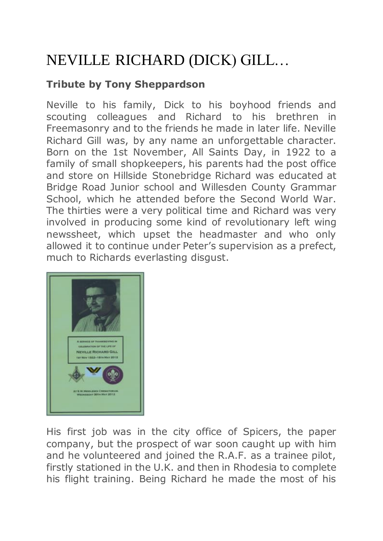## NEVILLE RICHARD (DICK) GILL…

## **Tribute by Tony Sheppardson**

Neville to his family, Dick to his boyhood friends and scouting colleagues and Richard to his brethren in Freemasonry and to the friends he made in later life. Neville Richard Gill was, by any name an unforgettable character. Born on the 1st November, All Saints Day, in 1922 to a family of small shopkeepers, his parents had the post office and store on Hillside Stonebridge Richard was educated at Bridge Road Junior school and Willesden County Grammar School, which he attended before the Second World War. The thirties were a very political time and Richard was very involved in producing some kind of revolutionary left wing newssheet, which upset the headmaster and who only allowed it to continue under Peter's supervision as a prefect, much to Richards everlasting disgust.



His first job was in the city office of Spicers, the paper company, but the prospect of war soon caught up with him and he volunteered and joined the R.A.F. as a trainee pilot, firstly stationed in the U.K. and then in Rhodesia to complete his flight training. Being Richard he made the most of his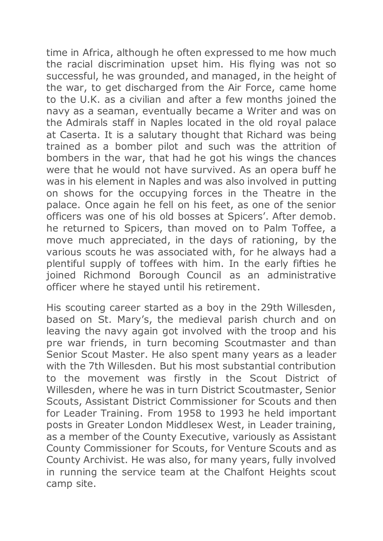time in Africa, although he often expressed to me how much the racial discrimination upset him. His flying was not so successful, he was grounded, and managed, in the height of the war, to get discharged from the Air Force, came home to the U.K. as a civilian and after a few months joined the navy as a seaman, eventually became a Writer and was on the Admirals staff in Naples located in the old royal palace at Caserta. It is a salutary thought that Richard was being trained as a bomber pilot and such was the attrition of bombers in the war, that had he got his wings the chances were that he would not have survived. As an opera buff he was in his element in Naples and was also involved in putting on shows for the occupying forces in the Theatre in the palace. Once again he fell on his feet, as one of the senior officers was one of his old bosses at Spicers'. After demob. he returned to Spicers, than moved on to Palm Toffee, a move much appreciated, in the days of rationing, by the various scouts he was associated with, for he always had a plentiful supply of toffees with him. In the early fifties he joined Richmond Borough Council as an administrative officer where he stayed until his retirement.

His scouting career started as a boy in the 29th Willesden, based on St. Mary's, the medieval parish church and on leaving the navy again got involved with the troop and his pre war friends, in turn becoming Scoutmaster and than Senior Scout Master. He also spent many years as a leader with the 7th Willesden. But his most substantial contribution to the movement was firstly in the Scout District of Willesden, where he was in turn District Scoutmaster, Senior Scouts, Assistant District Commissioner for Scouts and then for Leader Training. From 1958 to 1993 he held important posts in Greater London Middlesex West, in Leader training, as a member of the County Executive, variously as Assistant County Commissioner for Scouts, for Venture Scouts and as County Archivist. He was also, for many years, fully involved in running the service team at the Chalfont Heights scout camp site.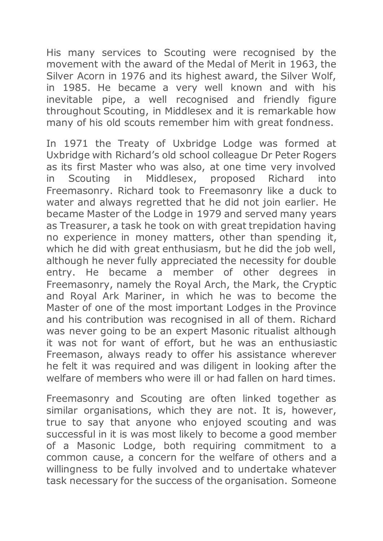His many services to Scouting were recognised by the movement with the award of the Medal of Merit in 1963, the Silver Acorn in 1976 and its highest award, the Silver Wolf, in 1985. He became a very well known and with his inevitable pipe, a well recognised and friendly figure throughout Scouting, in Middlesex and it is remarkable how many of his old scouts remember him with great fondness.

In 1971 the Treaty of Uxbridge Lodge was formed at Uxbridge with Richard's old school colleague Dr Peter Rogers as its first Master who was also, at one time very involved in Scouting in Middlesex, proposed Richard into Freemasonry. Richard took to Freemasonry like a duck to water and always regretted that he did not join earlier. He became Master of the Lodge in 1979 and served many years as Treasurer, a task he took on with great trepidation having no experience in money matters, other than spending it, which he did with great enthusiasm, but he did the job well, although he never fully appreciated the necessity for double entry. He became a member of other degrees in Freemasonry, namely the Royal Arch, the Mark, the Cryptic and Royal Ark Mariner, in which he was to become the Master of one of the most important Lodges in the Province and his contribution was recognised in all of them. Richard was never going to be an expert Masonic ritualist although it was not for want of effort, but he was an enthusiastic Freemason, always ready to offer his assistance wherever he felt it was required and was diligent in looking after the welfare of members who were ill or had fallen on hard times.

Freemasonry and Scouting are often linked together as similar organisations, which they are not. It is, however, true to say that anyone who enjoyed scouting and was successful in it is was most likely to become a good member of a Masonic Lodge, both requiring commitment to a common cause, a concern for the welfare of others and a willingness to be fully involved and to undertake whatever task necessary for the success of the organisation. Someone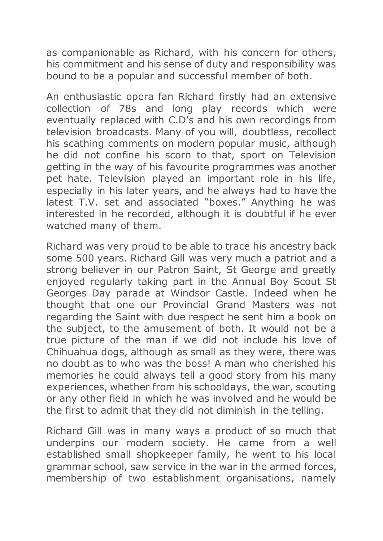as companionable as Richard, with his concern for others, his commitment and his sense of duty and responsibility was bound to be a popular and successful member of both.

An enthusiastic opera fan Richard firstly had an extensive collection of 78s and long play records which were eventually replaced with C.D's and his own recordings from television broadcasts. Many of you will, doubtless, recollect his scathing comments on modern popular music, although he did not confine his scorn to that, sport on Television getting in the way of his favourite programmes was another pet hate. Television played an important role in his life, especially in his later years, and he always had to have the latest T.V. set and associated "boxes." Anything he was interested in he recorded, although it is doubtful if he ever watched many of them.

Richard was very proud to be able to trace his ancestry back some 500 years. Richard Gill was very much a patriot and a strong believer in our Patron Saint, St George and greatly enjoyed regularly taking part in the Annual Boy Scout St Georges Day parade at Windsor Castle. Indeed when he thought that one our Provincial Grand Masters was not regarding the Saint with due respect he sent him a book on the subject, to the amusement of both. It would not be a true picture of the man if we did not include his love of Chihuahua dogs, although as small as they were, there was no doubt as to who was the boss! A man who cherished his memories he could always tell a good story from his many experiences, whether from his schooldays, the war, scouting or any other field in which he was involved and he would be the first to admit that they did not diminish in the telling.

Richard Gill was in many ways a product of so much that underpins our modern society. He came from a well established small shopkeeper family, he went to his local grammar school, saw service in the war in the armed forces, membership of two establishment organisations, namely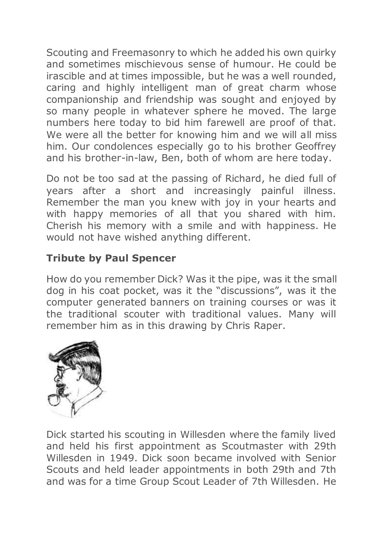Scouting and Freemasonry to which he added his own quirky and sometimes mischievous sense of humour. He could be irascible and at times impossible, but he was a well rounded, caring and highly intelligent man of great charm whose companionship and friendship was sought and enjoyed by so many people in whatever sphere he moved. The large numbers here today to bid him farewell are proof of that. We were all the better for knowing him and we will all miss him. Our condolences especially go to his brother Geoffrey and his brother-in-law, Ben, both of whom are here today.

Do not be too sad at the passing of Richard, he died full of years after a short and increasingly painful illness. Remember the man you knew with joy in your hearts and with happy memories of all that you shared with him. Cherish his memory with a smile and with happiness. He would not have wished anything different.

## **Tribute by Paul Spencer**

How do you remember Dick? Was it the pipe, was it the small dog in his coat pocket, was it the "discussions", was it the computer generated banners on training courses or was it the traditional scouter with traditional values. Many will remember him as in this drawing by Chris Raper.



Dick started his scouting in Willesden where the family lived and held his first appointment as Scoutmaster with 29th Willesden in 1949. Dick soon became involved with Senior Scouts and held leader appointments in both 29th and 7th and was for a time Group Scout Leader of 7th Willesden. He